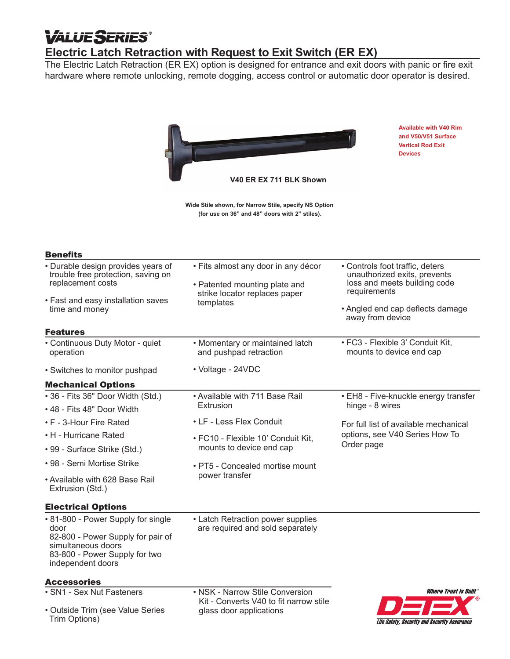# **VALUE SERIES®**

# **Electric Latch Retraction with Request to Exit Switch (ER EX)**

The Electric Latch Retraction (ER EX) option is designed for entrance and exit doors with panic or fire exit hardware where remote unlocking, remote dogging, access control or automatic door operator is desired.



**Wide Stile shown, for Narrow Stile, specify NS Option (for use on 36" and 48" doors with 2" stiles).**

| <b>Available with V40 Rim</b> |
|-------------------------------|
| and V50/V51 Surface           |
| <b>Vertical Rod Exit</b>      |
| <b>Devices</b>                |

| <b>Benefits</b>                                                                                                                                             |                                                                                                                    |                                                                                                                                                                         |
|-------------------------------------------------------------------------------------------------------------------------------------------------------------|--------------------------------------------------------------------------------------------------------------------|-------------------------------------------------------------------------------------------------------------------------------------------------------------------------|
| • Durable design provides years of<br>trouble free protection, saving on<br>replacement costs<br>• Fast and easy installation saves<br>time and money       | · Fits almost any door in any décor<br>• Patented mounting plate and<br>strike locator replaces paper<br>templates | • Controls foot traffic, deters<br>unauthorized exits, prevents<br>loss and meets building code<br>requirements<br>• Angled end cap deflects damage<br>away from device |
| <b>Features</b>                                                                                                                                             |                                                                                                                    |                                                                                                                                                                         |
| • Continuous Duty Motor - quiet<br>operation                                                                                                                | • Momentary or maintained latch<br>and pushpad retraction                                                          | • FC3 - Flexible 3' Conduit Kit,<br>mounts to device end cap                                                                                                            |
| • Switches to monitor pushpad                                                                                                                               | • Voltage - 24VDC                                                                                                  |                                                                                                                                                                         |
| <b>Mechanical Options</b>                                                                                                                                   |                                                                                                                    |                                                                                                                                                                         |
| • 36 - Fits 36" Door Width (Std.)                                                                                                                           | • Available with 711 Base Rail                                                                                     | • EH8 - Five-knuckle energy transfer                                                                                                                                    |
| • 48 - Fits 48" Door Width                                                                                                                                  | Extrusion                                                                                                          | hinge - 8 wires                                                                                                                                                         |
| • F - 3-Hour Fire Rated                                                                                                                                     | • LF - Less Flex Conduit                                                                                           | For full list of available mechanical<br>options, see V40 Series How To<br>Order page                                                                                   |
| • H - Hurricane Rated                                                                                                                                       | • FC10 - Flexible 10' Conduit Kit,<br>mounts to device end cap                                                     |                                                                                                                                                                         |
| • 99 - Surface Strike (Std.)                                                                                                                                |                                                                                                                    |                                                                                                                                                                         |
| • 98 - Semi Mortise Strike                                                                                                                                  | • PT5 - Concealed mortise mount<br>power transfer                                                                  |                                                                                                                                                                         |
| • Available with 628 Base Rail<br>Extrusion (Std.)                                                                                                          |                                                                                                                    |                                                                                                                                                                         |
| <b>Electrical Options</b>                                                                                                                                   |                                                                                                                    |                                                                                                                                                                         |
| • 81-800 - Power Supply for single<br>door<br>82-800 - Power Supply for pair of<br>simultaneous doors<br>83-800 - Power Supply for two<br>independent doors | • Latch Retraction power supplies<br>are required and sold separately                                              |                                                                                                                                                                         |
| <b>Accessories</b>                                                                                                                                          |                                                                                                                    |                                                                                                                                                                         |
| • SN1 - Sex Nut Fasteners                                                                                                                                   | • NSK - Narrow Stile Conversion<br>Kit - Converts V40 to fit narrow stile<br>glass door applications               | <i><b>Where Trust is Built</b></i>                                                                                                                                      |
| • Outside Trim (see Value Series<br>Trim Options)                                                                                                           |                                                                                                                    | Life Safety, Security and Security Assurance                                                                                                                            |